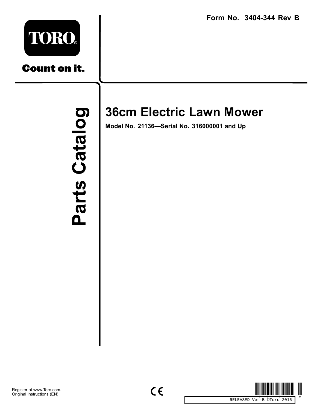**Form No. 3404-344 Rev B**



**Count on it.** 

Parts Catalog Parts Catal

## **36cm Electric Lawn Mower**

**Model No. 21136—Serial No. 316000001 and Up**

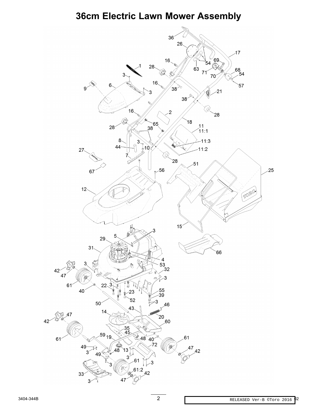## 36cm Electric Lawn Mower Assembly

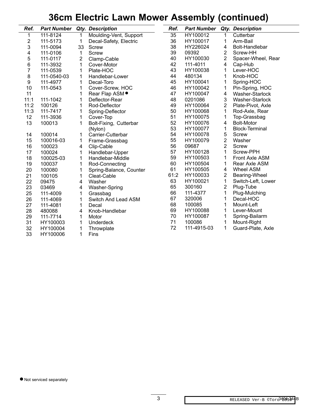## **36cm Electric Lawn Mower Assembly (continued)**

| Ref.             | <b>Part Number</b> |                         | <b>Qty. Description</b>    | Ref. | <b>Part Number</b> |                         | <b>Qty. Description</b> |
|------------------|--------------------|-------------------------|----------------------------|------|--------------------|-------------------------|-------------------------|
| 1                | 111-8124           | 1                       | Moulding-Vent, Support     | 35   | HY100012           | 1                       | Cutterbar               |
| $\overline{c}$   | 111-5173           | 1                       | Decal-Safety, Electric     | 36   | HY100017           | 1                       | Arm-Bail                |
| 3                | 111-0094           | 33                      | Screw                      | 38   | HY226024           | 4                       | Bolt-Handlebar          |
| 4                | 111-0106           | 1                       | <b>Screw</b>               | 39   | 09392              | 2                       | Screw-HH                |
| 5                | 111-0117           | $\overline{\mathbf{c}}$ | Clamp-Cable                | 40   | HY100030           | $\overline{\mathbf{c}}$ | Spacer-Wheel, Rear      |
| 6                | 111-3932           | 1                       | Cover-Motor                | 42   | 111-4011           | 4                       | Cap-Hub                 |
| 7                | 111-0539           | 1                       | Plate-HOC                  | 43   | HY100038           | 1                       | Lever-HOC               |
| $\bf 8$          | 111-0540-03        | 1                       | Handlebar-Lower            | 44   | 480134             | 1                       | Knob-HOC                |
| $\boldsymbol{9}$ | 111-4977           | 1                       | Decal-Toro                 | 45   | HY100041           | 1                       | Spring-HOC              |
| 10               | 111-0543           | 1                       | Cover-Screw, HOC           | 46   | HY100042           | 1                       | Pin-Spring, HOC         |
| 11               |                    | 1                       | Rear Flap ASM <sup>.</sup> | 47   | HY100047           | 4                       | Washer-Starlock         |
| 11:1             | 111-1042           | 1                       | Deflector-Rear             | 48   | 0201086            | $\mathbf{3}$            | Washer-Starlock         |
| 11:2             | 100126             | 1                       | Rod-Deflector              | 49   | HY100064           | 2                       | Plate-Pivot, Axle       |
| 11:3             | 111-7417           | 1                       | Spring-Deflector           | 50   | HY100068           | 1                       | Rod-Axle, Rear          |
| 12               | 111-3936           | 1                       | Cover-Top                  | 51   | HY100075           | 1                       | Top-Grassbag            |
| 13               | 100013             | 1                       | Bolt-Fixing, Cutterbar     | 52   | HY100076           | 4                       | <b>Bolt-Motor</b>       |
|                  |                    |                         | (Nylon)                    | 53   | HY100077           | 1                       | <b>Block-Terminal</b>   |
| 14               | 100014             | 1                       | Carrier-Cutterbar          | 54   | HY100078           | 5                       | <b>Screw</b>            |
| 15               | 100016-03          | 1                       | Frame-Grassbag             | 55   | HY100079           | $\overline{\mathbf{c}}$ | Washer                  |
| 16               | 100023             | 4                       | Clip-Cable                 | 56   | 09687              | $\overline{2}$          | Screw                   |
| 17               | 100024             | 1                       | Handlebar-Upper            | 57   | HY100128           | 1                       | Screw-PPH               |
| 18               | 100025-03          | 1                       | Handlebar-Middle           | 59   | HY100503           | 1                       | Front Axle ASM          |
| 19               | 100037             | 1                       | Rod-Connecting             | 60   | HY100504           | 1                       | Rear Axle ASM           |
| 20               | 100080             | 1                       | Spring-Balance, Counter    | 61   | HY100505           | 4                       | <b>Wheel ASM</b>        |
| 21               | 100105             | 1                       | Cleat-Cable                | 61:2 | HY100033           | $\boldsymbol{2}$        | Bearing-Wheel           |
| 22               | 09475              | 4                       | Washer                     | 63   | HY100021           | 1                       | Switch-Left, Lower      |
| 23               | 03469              | 4                       | Washer-Spring              | 65   | 300160             | $\overline{2}$          | Plug-Tube               |
| 25               | 111-4009           | 1                       | Grassbag                   | 66   | 111-4377           | 1                       | Plug-Mulching           |
| 26               | 111-4069           | 1                       | Switch And Lead ASM        | 67   | 320006             | 1                       | Decal-HOC               |
| 27               | 111-4081           | 1                       | Decal                      | 68   | 100085             | 1                       | Mount-Left              |
| 28               | 480088             | 4                       | Knob-Handlebar             | 69   | HY100088           | 1                       | Lever-Mount             |
| 29               | 111-7714           | 1                       | Motor                      | 70   | HY100087           | 1                       | Spring-Bailarm          |
| 31               | HY100003           | 1                       | <b>Underdeck</b>           | 71   | 100086             | 1                       | Mount-Right             |
| 32               | HY100004           | 1                       | Throwplate                 | 72   | 111-4915-03        | 1                       | Guard-Plate, Axle       |
| 33               | HY100006           | 1                       | Fins                       |      |                    |                         |                         |

● Not serviced separately

 $\overline{\phantom{0}}$